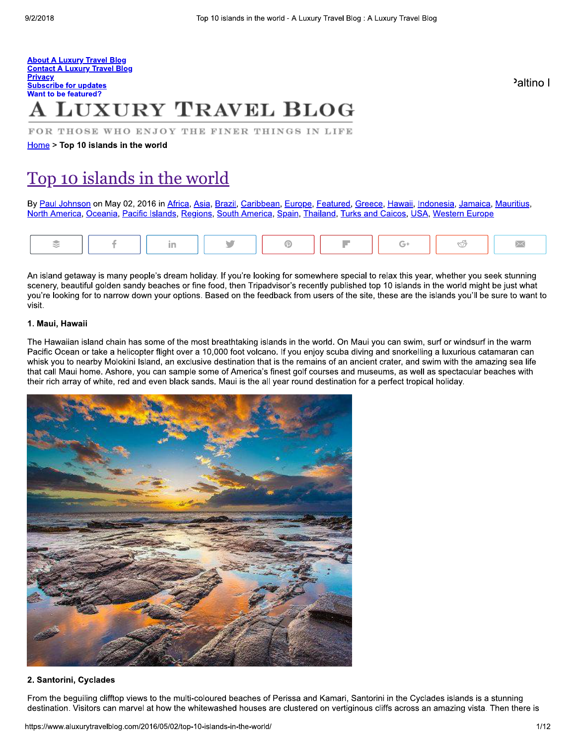#### **About A Luxury Travel Blog Contact A Luxury Travel Blog Privacy** Subscribe for updates **Want to be featured?**

# **LUXURY TRAVEL BLOG**

FOR THOSE WHO ENJOY THE FINER THINGS IN LIFE

Home > Top 10 islands in the world

# Top 10 islands in the world

By Paul Johnson on May 02, 2016 in Africa, Asia, Brazil, Caribbean, Europe, Featured, Greece, Hawaii, Indonesia, Jamaica, Mauritius, North America, Oceania, Pacific Islands, Regions, South America, Spain, Thailand, Turks and Caicos, USA, Western Europe

An island getaway is many people's dream holiday. If you're looking for somewhere special to relax this year, whether you seek stunning scenery, beautiful golden sandy beaches or fine food, then Tripadvisor's recently published top 10 islands in the world might be just what you're looking for to narrow down your options. Based on the feedback from users of the site, these are the islands you'll be sure to want to visit.

# 1. Maui, Hawaii

The Hawaiian island chain has some of the most breathtaking islands in the world. On Maui you can swim, surf or windsurf in the warm Pacific Ocean or take a helicopter flight over a 10,000 foot volcano. If you enjoy scuba diving and snorkelling a luxurious catamaran can whisk you to nearby Molokini Island, an exclusive destination that is the remains of an ancient crater, and swim with the amazing sea life that call Maui home. Ashore, you can sample some of America's finest golf courses and museums, as well as spectacular beaches with their rich array of white, red and even black sands. Maui is the all year round destination for a perfect tropical holiday.



## 2. Santorini, Cyclades

From the beguiling clifftop views to the multi-coloured beaches of Perissa and Kamari, Santorini in the Cyclades islands is a stunning destination. Visitors can marvel at how the whitewashed houses are clustered on vertiginous cliffs across an amazing vista. Then there is

Paltino I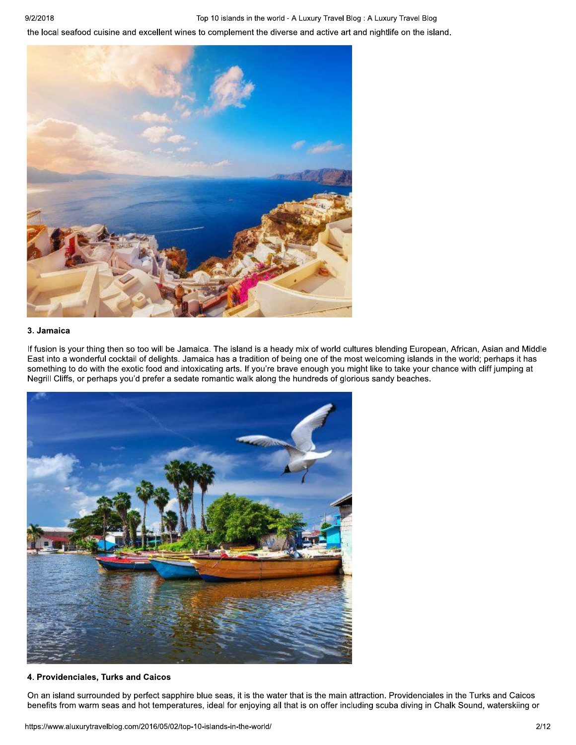Top 10 islands in the world - A Luxury Travel Blog : A Luxury Travel Blog

the local seafood cuisine and excellent wines to complement the diverse and active art and nightlife on the island.



# 3. Jamaica

If fusion is your thing then so too will be Jamaica. The island is a heady mix of world cultures blending European, African, Asian and Middle East into a wonderful cocktail of delights. Jamaica has a tradition of being one of the most welcoming islands in the world; perhaps it has something to do with the exotic food and intoxicating arts. If you're brave enough you might like to take your chance with cliff jumping at Negrill Cliffs, or perhaps you'd prefer a sedate romantic walk along the hundreds of glorious sandy beaches.



# 4. Providenciales, Turks and Caicos

On an island surrounded by perfect sapphire blue seas, it is the water that is the main attraction. Providenciales in the Turks and Caicos benefits from warm seas and hot temperatures, ideal for enjoying all that is on offer including scuba diving in Chalk Sound, waterskiing or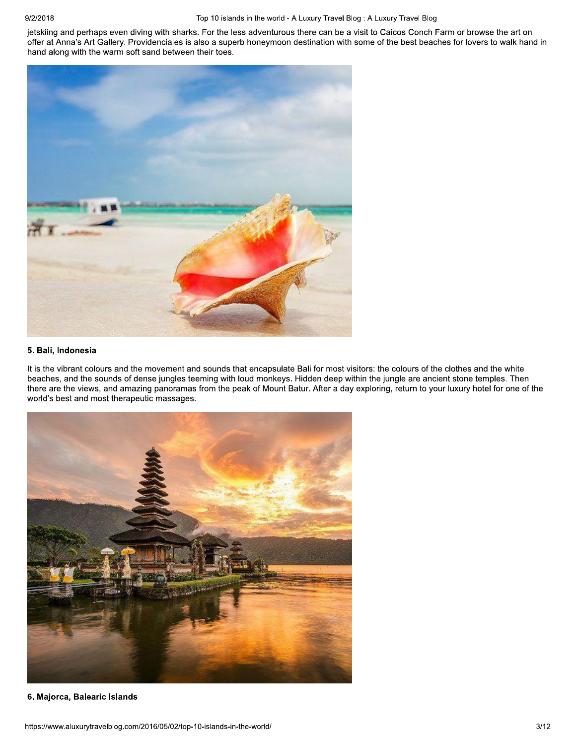#### Top 10 islands in the world - A Luxury Travel Blog : A Luxury Travel Blog

jetskiing and perhaps even diving with sharks. For the less adventurous there can be a visit to Caicos Conch Farm or browse the art on offer at Anna's Art Gallery. Providenciales is also a superb honeymoon destination with some of the best beaches for lovers to walk hand in hand along with the warm soft sand between their toes.



#### 5. Bali, Indonesia

It is the vibrant colours and the movement and sounds that encapsulate Bali for most visitors: the colours of the clothes and the white beaches, and the sounds of dense jungles teeming with loud monkeys. Hidden deep within the jungle are ancient stone temples. Then there are the views, and amazing panoramas from the peak of Mount Batur. After a day exploring, return to your luxury hotel for one of the world's best and most therapeutic massages.



6. Majorca, Balearic Islands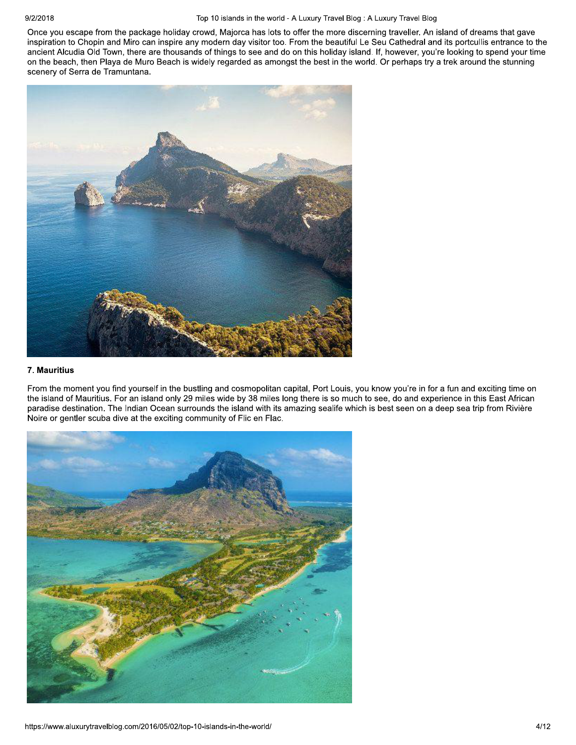#### Top 10 islands in the world - A Luxury Travel Blog : A Luxury Travel Blog

Once you escape from the package holiday crowd, Majorca has lots to offer the more discerning traveller. An island of dreams that gave inspiration to Chopin and Miro can inspire any modern day visitor too. From the beautiful Le Seu Cathedral and its portcullis entrance to the ancient Alcudia Old Town, there are thousands of things to see and do on this holiday island. If, however, you're looking to spend your time on the beach, then Playa de Muro Beach is widely regarded as amongst the best in the world. Or perhaps try a trek around the stunning scenery of Serra de Tramuntana.



# 7. Mauritius

From the moment you find yourself in the bustling and cosmopolitan capital, Port Louis, you know you're in for a fun and exciting time on the island of Mauritius. For an island only 29 miles wide by 38 miles long there is so much to see, do and experience in this East African paradise destination. The Indian Ocean surrounds the island with its amazing sealife which is best seen on a deep sea trip from Rivière Noire or gentler scuba dive at the exciting community of Flic en Flac.

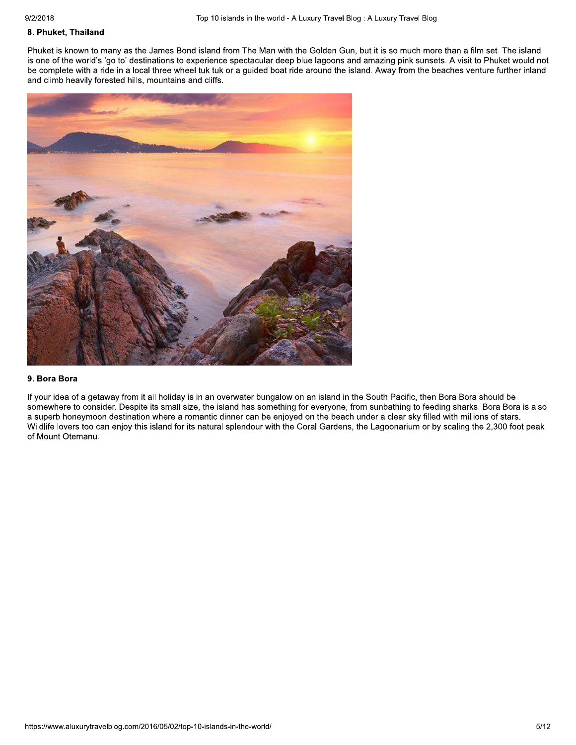# 8. Phuket, Thailand

Phuket is known to many as the James Bond island from The Man with the Golden Gun, but it is so much more than a film set. The island is one of the world's 'go to' destinations to experience spectacular deep blue lagoons and amazing pink sunsets. A visit to Phuket would not be complete with a ride in a local three wheel tuk tuk or a guided boat ride around the island. Away from the beaches venture further inland and climb heavily forested hills, mountains and cliffs.



#### 9. Bora Bora

If your idea of a getaway from it all holiday is in an overwater bungalow on an island in the South Pacific, then Bora Bora should be somewhere to consider. Despite its small size, the island has something for everyone, from sunbathing to feeding sharks. Bora Bora is also a superb honeymoon destination where a romantic dinner can be enjoyed on the beach under a clear sky filled with millions of stars. Wildlife lovers too can enjoy this island for its natural splendour with the Coral Gardens, the Lagoonarium or by scaling the 2,300 foot peak of Mount Otemanu.